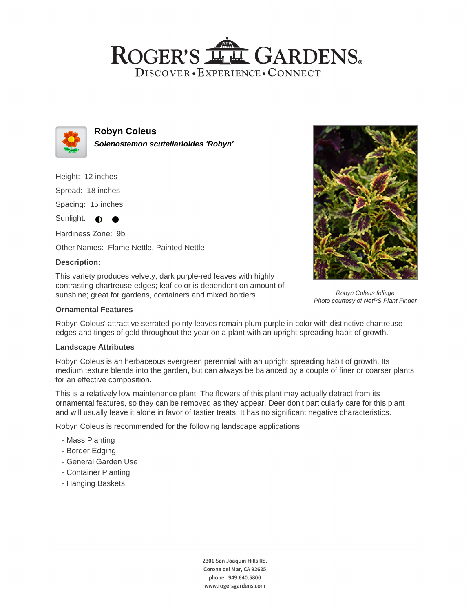## ROGER'S LL GARDENS. DISCOVER · EXPERIENCE · CONNECT



**Robyn Coleus Solenostemon scutellarioides 'Robyn'**

Height: 12 inches

Spread: 18 inches

Spacing: 15 inches

Sunlight:  $\bullet$  $\bullet$ 

Hardiness Zone: 9b Other Names: Flame Nettle, Painted Nettle

### **Description:**

This variety produces velvety, dark purple-red leaves with highly contrasting chartreuse edges; leaf color is dependent on amount of sunshine; great for gardens, containers and mixed borders



Robyn Coleus' attractive serrated pointy leaves remain plum purple in color with distinctive chartreuse edges and tinges of gold throughout the year on a plant with an upright spreading habit of growth.

### **Landscape Attributes**

Robyn Coleus is an herbaceous evergreen perennial with an upright spreading habit of growth. Its medium texture blends into the garden, but can always be balanced by a couple of finer or coarser plants for an effective composition.

This is a relatively low maintenance plant. The flowers of this plant may actually detract from its ornamental features, so they can be removed as they appear. Deer don't particularly care for this plant and will usually leave it alone in favor of tastier treats. It has no significant negative characteristics.

Robyn Coleus is recommended for the following landscape applications;

- Mass Planting
- Border Edging
- General Garden Use
- Container Planting
- Hanging Baskets



Robyn Coleus foliage Photo courtesy of NetPS Plant Finder

2301 San Joaquin Hills Rd. Corona del Mar, CA 92625 phone: 949.640.5800 www.rogersgardens.com